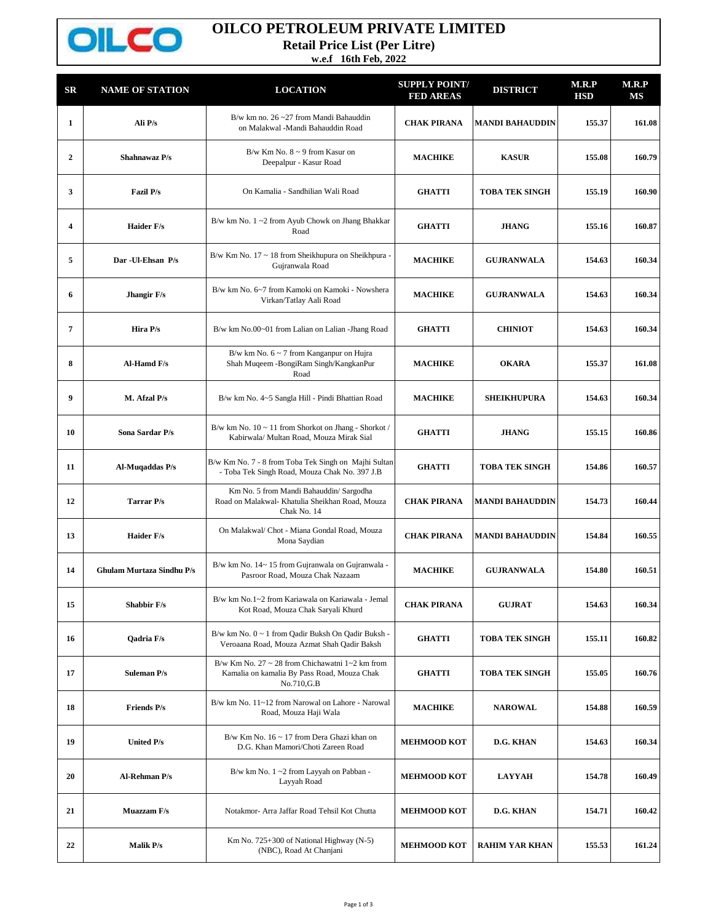

## **OILCO PETROLEUM PRIVATE LIMITED**

**Retail Price List (Per Litre)**

**w.e.f 16th Feb, 2022**

| SR                      | <b>NAME OF STATION</b>           | <b>LOCATION</b>                                                                                                          | <b>SUPPLY POINT/</b><br><b>FED AREAS</b> | <b>DISTRICT</b>        | M.R.P<br><b>HSD</b> | M.R.P<br>MS |
|-------------------------|----------------------------------|--------------------------------------------------------------------------------------------------------------------------|------------------------------------------|------------------------|---------------------|-------------|
| $\mathbf{1}$            | Ali P/s                          | B/w km no. $26 - 27$ from Mandi Bahauddin<br>on Malakwal -Mandi Bahauddin Road                                           | <b>CHAK PIRANA</b>                       | <b>MANDI BAHAUDDIN</b> | 155.37              | 161.08      |
| $\overline{2}$          | Shahnawaz P/s                    | $B/w$ Km No. $8 \sim 9$ from Kasur on<br>Deepalpur - Kasur Road                                                          | <b>MACHIKE</b>                           | <b>KASUR</b>           | 155.08              | 160.79      |
| 3                       | Fazil P/s                        | On Kamalia - Sandhilian Wali Road                                                                                        | <b>GHATTI</b>                            | <b>TOBA TEK SINGH</b>  | 155.19              | 160.90      |
| $\overline{\mathbf{4}}$ | <b>Haider F/s</b>                | B/w km No. 1~2 from Ayub Chowk on Jhang Bhakkar<br>Road                                                                  | <b>GHATTI</b>                            | <b>JHANG</b>           | 155.16              | 160.87      |
| 5                       | Dar - Ul-Ehsan P/s               | B/w Km No. $17 \sim 18$ from Sheikhupura on Sheikhpura -<br>Gujranwala Road                                              | <b>MACHIKE</b>                           | <b>GUJRANWALA</b>      | 154.63              | 160.34      |
| 6                       | Jhangir F/s                      | B/w km No. 6~7 from Kamoki on Kamoki - Nowshera<br>Virkan/Tatlay Aali Road                                               | <b>MACHIKE</b>                           | <b>GUJRANWALA</b>      | 154.63              | 160.34      |
| 7                       | Hira P/s                         | B/w km No.00~01 from Lalian on Lalian -Jhang Road                                                                        | <b>GHATTI</b>                            | <b>CHINIOT</b>         | 154.63              | 160.34      |
| 8                       | Al-Hamd F/s                      | B/w km No. $6 \sim 7$ from Kanganpur on Hujra<br>Shah Muqeem -BongiRam Singh/KangkanPur<br>Road                          | <b>MACHIKE</b>                           | <b>OKARA</b>           | 155.37              | 161.08      |
| 9                       | M. Afzal P/s                     | B/w km No. 4~5 Sangla Hill - Pindi Bhattian Road                                                                         | <b>MACHIKE</b>                           | <b>SHEIKHUPURA</b>     | 154.63              | 160.34      |
| 10                      | Sona Sardar P/s                  | B/w km No. 10 ~ 11 from Shorkot on Jhang - Shorkot /<br>Kabirwala/ Multan Road, Mouza Mirak Sial                         | <b>GHATTI</b>                            | <b>JHANG</b>           | 155.15              | 160.86      |
| 11                      | Al-Muqaddas P/s                  | B/w Km No. 7 - 8 from Toba Tek Singh on Majhi Sultan<br>- Toba Tek Singh Road, Mouza Chak No. 397 J.B                    | <b>GHATTI</b>                            | <b>TOBA TEK SINGH</b>  | 154.86              | 160.57      |
| 12                      | Tarrar P/s                       | Km No. 5 from Mandi Bahauddin/ Sargodha<br>Road on Malakwal- Khatulia Sheikhan Road, Mouza<br>Chak No. 14                | <b>CHAK PIRANA</b>                       | <b>MANDI BAHAUDDIN</b> | 154.73              | 160.44      |
| 13                      | <b>Haider F/s</b>                | On Malakwal/ Chot - Miana Gondal Road, Mouza<br>Mona Saydian                                                             | <b>CHAK PIRANA</b>                       | <b>MANDI BAHAUDDIN</b> | 154.84              | 160.55      |
| 14                      | <b>Ghulam Murtaza Sindhu P/s</b> | B/w km No. 14~15 from Gujranwala on Gujranwala -<br>Pasroor Road, Mouza Chak Nazaam                                      | <b>MACHIKE</b>                           | <b>GUJRANWALA</b>      | 154.80              | 160.51      |
| 15                      | <b>Shabbir F/s</b>               | B/w km No.1~2 from Kariawala on Kariawala - Jemal<br>Kot Road, Mouza Chak Saryali Khurd                                  | <b>CHAK PIRANA</b>                       | <b>GUJRAT</b>          | 154.63              | 160.34      |
| 16                      | Qadria F/s                       | B/w km No. $0 \sim 1$ from Qadir Buksh On Qadir Buksh -<br>Veroaana Road, Mouza Azmat Shah Qadir Baksh                   | <b>GHATTI</b>                            | <b>TOBA TEK SINGH</b>  | 155.11              | 160.82      |
| 17                      | <b>Suleman P/s</b>               | B/w Km No. 27 $\sim$ 28 from Chichawatni 1 $\sim$ 2 km from<br>Kamalia on kamalia By Pass Road, Mouza Chak<br>No.710,G.B | <b>GHATTI</b>                            | <b>TOBA TEK SINGH</b>  | 155.05              | 160.76      |
| 18                      | <b>Friends P/s</b>               | B/w km No. 11~12 from Narowal on Lahore - Narowal<br>Road, Mouza Haji Wala                                               | <b>MACHIKE</b>                           | <b>NAROWAL</b>         | 154.88              | 160.59      |
| 19                      | <b>United P/s</b>                | B/w Km No. $16 \sim 17$ from Dera Ghazi khan on<br>D.G. Khan Mamori/Choti Zareen Road                                    | <b>MEHMOOD KOT</b>                       | D.G. KHAN              | 154.63              | 160.34      |
| 20                      | <b>Al-Rehman P/s</b>             | B/w km No. 1~2 from Layyah on Pabban -<br>Layyah Road                                                                    | <b>MEHMOOD KOT</b>                       | <b>LAYYAH</b>          | 154.78              | 160.49      |
| 21                      | Muazzam F/s                      | Notakmor- Arra Jaffar Road Tehsil Kot Chutta                                                                             | <b>MEHMOOD KOT</b>                       | D.G. KHAN              | 154.71              | 160.42      |
| 22                      | Malik P/s                        | Km No. 725+300 of National Highway (N-5)<br>(NBC), Road At Chanjani                                                      | <b>MEHMOOD KOT</b>                       | <b>RAHIM YAR KHAN</b>  | 155.53              | 161.24      |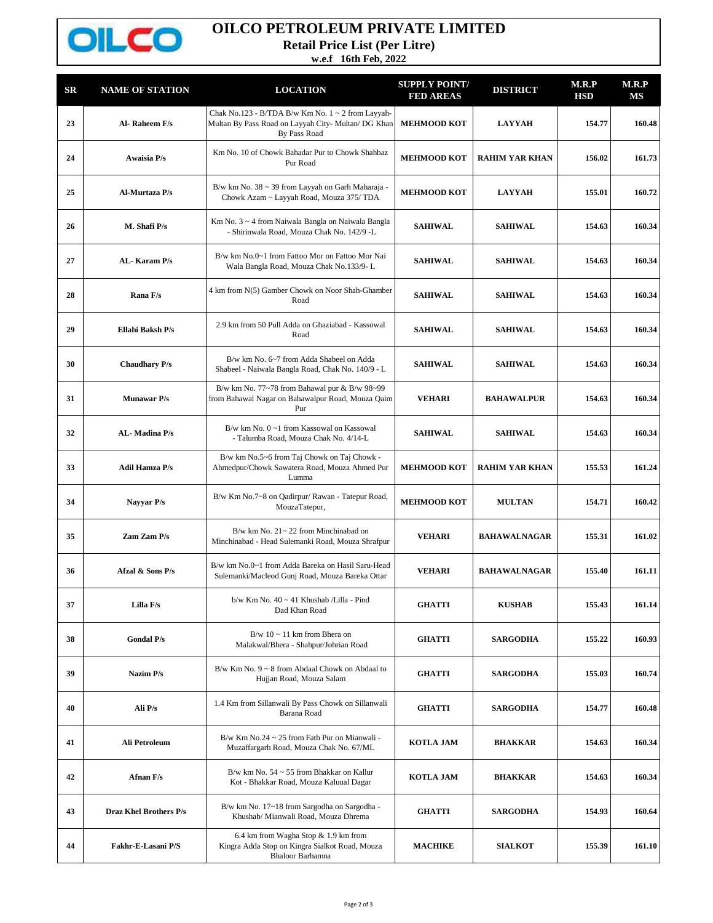

## **OILCO PETROLEUM PRIVATE LIMITED**

**Retail Price List (Per Litre)**

**w.e.f 16th Feb, 2022**

| SR | <b>NAME OF STATION</b>        | <b>LOCATION</b>                                                                                                               | <b>SUPPLY POINT/</b><br><b>FED AREAS</b> | <b>DISTRICT</b>       | M.R.P<br><b>HSD</b> | M.R.P<br>MS |
|----|-------------------------------|-------------------------------------------------------------------------------------------------------------------------------|------------------------------------------|-----------------------|---------------------|-------------|
| 23 | Al-Raheem F/s                 | Chak No.123 - B/TDA B/w Km No. $1 \sim 2$ from Layyah-<br>Multan By Pass Road on Layyah City- Multan/ DG Khan<br>By Pass Road | <b>MEHMOOD KOT</b>                       | <b>LAYYAH</b>         | 154.77              | 160.48      |
| 24 | Awaisia P/s                   | Km No. 10 of Chowk Bahadar Pur to Chowk Shahbaz<br>Pur Road                                                                   | <b>MEHMOOD KOT</b>                       | <b>RAHIM YAR KHAN</b> | 156.02              | 161.73      |
| 25 | Al-Murtaza P/s                | B/w km No. 38 ~ 39 from Layyah on Garh Maharaja -<br>Chowk Azam ~ Layyah Road, Mouza 375/ TDA                                 | <b>MEHMOOD KOT</b>                       | <b>LAYYAH</b>         | 155.01              | 160.72      |
| 26 | M. Shafi P/s                  | Km No. 3 ~ 4 from Naiwala Bangla on Naiwala Bangla<br>- Shirinwala Road, Mouza Chak No. 142/9 -L                              | <b>SAHIWAL</b>                           | <b>SAHIWAL</b>        | 154.63              | 160.34      |
| 27 | AL-Karam P/s                  | B/w km No.0~1 from Fattoo Mor on Fattoo Mor Nai<br>Wala Bangla Road, Mouza Chak No.133/9-L                                    | <b>SAHIWAL</b>                           | <b>SAHIWAL</b>        | 154.63              | 160.34      |
| 28 | Rana F/s                      | 4 km from N(5) Gamber Chowk on Noor Shah-Ghamber<br>Road                                                                      | <b>SAHIWAL</b>                           | <b>SAHIWAL</b>        | 154.63              | 160.34      |
| 29 | Ellahi Baksh P/s              | 2.9 km from 50 Pull Adda on Ghaziabad - Kassowal<br>Road                                                                      | <b>SAHIWAL</b>                           | <b>SAHIWAL</b>        | 154.63              | 160.34      |
| 30 | <b>Chaudhary P/s</b>          | B/w km No. 6~7 from Adda Shabeel on Adda<br>Shabeel - Naiwala Bangla Road, Chak No. 140/9 - L                                 | <b>SAHIWAL</b>                           | <b>SAHIWAL</b>        | 154.63              | 160.34      |
| 31 | <b>Munawar</b> P/s            | B/w km No. 77~78 from Bahawal pur & B/w 98~99<br>from Bahawal Nagar on Bahawalpur Road, Mouza Qaim<br>Pur                     | <b>VEHARI</b>                            | <b>BAHAWALPUR</b>     | 154.63              | 160.34      |
| 32 | AL-Madina P/s                 | B/w km No. 0~1 from Kassowal on Kassowal<br>- Talumba Road, Mouza Chak No. 4/14-L                                             | <b>SAHIWAL</b>                           | <b>SAHIWAL</b>        | 154.63              | 160.34      |
| 33 | <b>Adil Hamza P/s</b>         | B/w km No.5~6 from Taj Chowk on Taj Chowk -<br>Ahmedpur/Chowk Sawatera Road, Mouza Ahmed Pur<br>Lumma                         | <b>MEHMOOD KOT</b>                       | <b>RAHIM YAR KHAN</b> | 155.53              | 161.24      |
| 34 | Nayyar P/s                    | B/w Km No.7~8 on Qadirpur/ Rawan - Tatepur Road,<br>MouzaTatepur,                                                             | <b>MEHMOOD KOT</b>                       | <b>MULTAN</b>         | 154.71              | 160.42      |
| 35 | Zam Zam P/s                   | B/w km No. $21 - 22$ from Minchinabad on<br>Minchinabad - Head Sulemanki Road, Mouza Shrafpur                                 | <b>VEHARI</b>                            | <b>BAHAWALNAGAR</b>   | 155.31              | 161.02      |
| 36 | Afzal & Sons P/s              | B/w km No.0~1 from Adda Bareka on Hasil Saru-Head<br>Sulemanki/Macleod Gunj Road, Mouza Bareka Ottar                          | <b>VEHARI</b>                            | <b>BAHAWALNAGAR</b>   | 155.40              | 161.11      |
| 37 | Lilla F/s                     | b/w Km No. 40 ~ 41 Khushab /Lilla - Pind<br>Dad Khan Road                                                                     | <b>GHATTI</b>                            | <b>KUSHAB</b>         | 155.43              | 161.14      |
| 38 | <b>Gondal P/s</b>             | $B/w 10 \sim 11$ km from Bhera on<br>Malakwal/Bhera - Shahpur/Johrian Road                                                    | <b>GHATTI</b>                            | <b>SARGODHA</b>       | 155.22              | 160.93      |
| 39 | Nazim P/s                     | B/w Km No. $9 \sim 8$ from Abdaal Chowk on Abdaal to<br>Hujjan Road, Mouza Salam                                              | <b>GHATTI</b>                            | <b>SARGODHA</b>       | 155.03              | 160.74      |
| 40 | Ali P/s                       | 1.4 Km from Sillanwali By Pass Chowk on Sillanwali<br>Barana Road                                                             | <b>GHATTI</b>                            | <b>SARGODHA</b>       | 154.77              | 160.48      |
| 41 | Ali Petroleum                 | B/w Km No.24 $\sim$ 25 from Fath Pur on Mianwali -<br>Muzaffargarh Road, Mouza Chak No. 67/ML                                 | <b>KOTLA JAM</b>                         | <b>BHAKKAR</b>        | 154.63              | 160.34      |
| 42 | Afnan F/s                     | B/w km No. $54 \sim 55$ from Bhakkar on Kallur<br>Kot - Bhakkar Road, Mouza Kaluual Dagar                                     | <b>KOTLA JAM</b>                         | <b>BHAKKAR</b>        | 154.63              | 160.34      |
| 43 | <b>Draz Khel Brothers P/s</b> | B/w km No. 17~18 from Sargodha on Sargodha -<br>Khushab/ Mianwali Road, Mouza Dhrema                                          | <b>GHATTI</b>                            | <b>SARGODHA</b>       | 154.93              | 160.64      |
| 44 | Fakhr-E-Lasani P/S            | 6.4 km from Wagha Stop & 1.9 km from<br>Kingra Adda Stop on Kingra Sialkot Road, Mouza<br><b>Bhaloor Barhamna</b>             | <b>MACHIKE</b>                           | <b>SIALKOT</b>        | 155.39              | 161.10      |